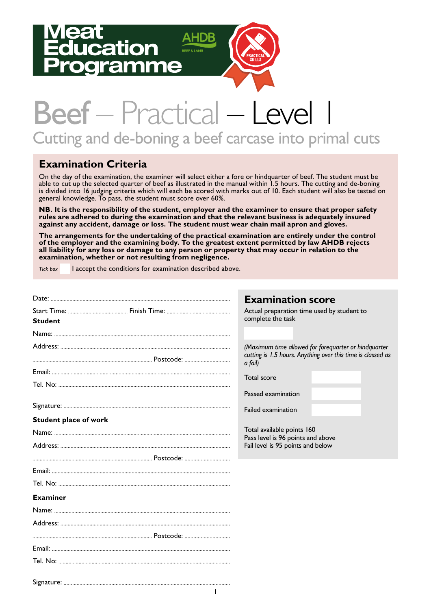# ation



# Beef – Practical – Level Cutting and de-boning a beef carcase into primal cuts

### **Examination Criteria**

On the day of the examination, the examiner will select either a fore or hindquarter of beef. The student must be able to cut up the selected quarter of beef as illustrated in the manual within 1.5 hours. The cutting and de-boning is divided into 16 judging criteria which will each be scored with marks out of 10. Each student will also be tested on general knowledge. To pass, the student must score over 60%.

**NB. It is the responsibility of the student, employer and the examiner to ensure that proper safety rules are adhered to during the examination and that the relevant business is adequately insured against any accident, damage or loss. The student must wear chain mail apron and gloves.** 

**The arrangements for the undertaking of the practical examination are entirely under the control of the employer and the examining body. To the greatest extent permitted by law AHDB rejects all liability for any loss or damage to any person or property that may occur in relation to the examination, whether or not resulting from negligence.**

*Tick box* I accept the conditions for examination described above.

|                              | <b>Examination score</b>                                                                                                       |
|------------------------------|--------------------------------------------------------------------------------------------------------------------------------|
| <b>Student</b>               | Actual preparation time used by student to<br>complete the task                                                                |
|                              |                                                                                                                                |
|                              | (Maximum time allowed for forequarter or hindquarter<br>cutting is 1.5 hours. Anything over this time is classed as<br>a fail) |
|                              | Total score                                                                                                                    |
|                              |                                                                                                                                |
|                              | Passed examination                                                                                                             |
|                              | Failed examination                                                                                                             |
| <b>Student place of work</b> |                                                                                                                                |
|                              | Total available points 160                                                                                                     |
|                              | Pass level is 96 points and above<br>Fail level is 95 points and below                                                         |
|                              |                                                                                                                                |
|                              |                                                                                                                                |
|                              |                                                                                                                                |
| <b>Examiner</b>              |                                                                                                                                |
|                              |                                                                                                                                |
|                              |                                                                                                                                |
|                              |                                                                                                                                |
|                              |                                                                                                                                |
|                              |                                                                                                                                |
|                              |                                                                                                                                |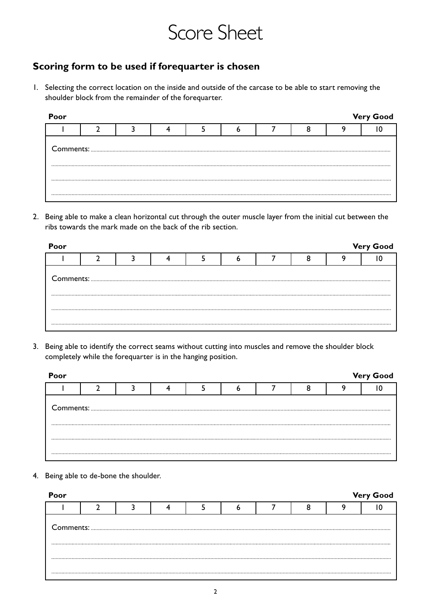# Score Sheet

### **Scoring form to be used if forequarter is chosen**

1. Selecting the correct location on the inside and outside of the carcase to be able to start removing the shoulder block from the remainder of the forequarter.

| Poor |  |  |  |  | <b>Very Good</b> |
|------|--|--|--|--|------------------|
|      |  |  |  |  |                  |
|      |  |  |  |  |                  |
|      |  |  |  |  |                  |
|      |  |  |  |  |                  |

2. Being able to make a clean horizontal cut through the outer muscle layer from the initial cut between the ribs towards the mark made on the back of the rib section.

| Poor |                                                                              |  |  |  | <b>Very Good</b> |
|------|------------------------------------------------------------------------------|--|--|--|------------------|
|      |                                                                              |  |  |  |                  |
|      | ${\small \begin{minipage}{0.9\linewidth} \textbf{Comments:} \end{minipage}}$ |  |  |  |                  |
|      |                                                                              |  |  |  |                  |
|      |                                                                              |  |  |  |                  |

3. Being able to identify the correct seams without cutting into muscles and remove the shoulder block completely while the forequarter is in the hanging position.

| Poor |  |  |  |  | <b>Very Good</b> |
|------|--|--|--|--|------------------|
|      |  |  |  |  |                  |
|      |  |  |  |  |                  |
|      |  |  |  |  |                  |
|      |  |  |  |  |                  |

4. Being able to de-bone the shoulder.

| Poor |  |  |  |  | <b>Very Good</b> |
|------|--|--|--|--|------------------|
|      |  |  |  |  |                  |
|      |  |  |  |  |                  |
|      |  |  |  |  |                  |
|      |  |  |  |  |                  |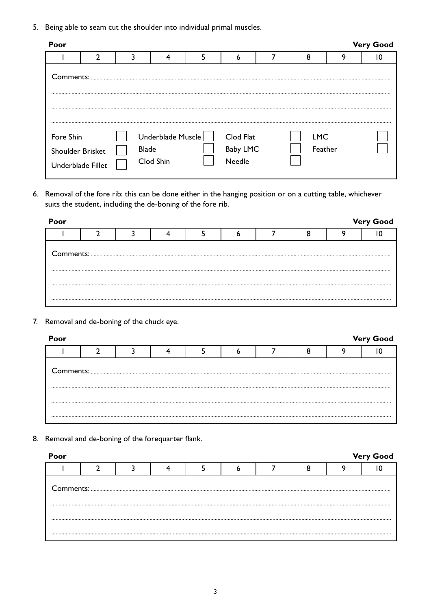5. Being able to seam cut the shoulder into individual primal muscles.

| Poor                                               |  |                                                |                                        |                       |   | <b>Very Good</b> |
|----------------------------------------------------|--|------------------------------------------------|----------------------------------------|-----------------------|---|------------------|
|                                                    |  |                                                | ь                                      | 8                     | a |                  |
| Comments:                                          |  |                                                |                                        |                       |   |                  |
| Fore Shin<br>Shoulder Brisket<br>Underblade Fillet |  | Underblade Muscle<br><b>Blade</b><br>Clod Shin | Clod Flat<br><b>Baby LMC</b><br>Needle | <b>LMC</b><br>Feather |   |                  |

6. Removal of the fore rib; this can be done either in the hanging position or on a cutting table, whichever suits the student, including the de-boning of the fore rib.

| Poor |  |  |  |  | <b>Very Good</b> |
|------|--|--|--|--|------------------|
|      |  |  |  |  |                  |
|      |  |  |  |  |                  |
|      |  |  |  |  |                  |
|      |  |  |  |  |                  |
|      |  |  |  |  |                  |

7. Removal and de-boning of the chuck eye.

| Poor |  |  |  |  | <b>Very Good</b> |
|------|--|--|--|--|------------------|
|      |  |  |  |  |                  |
|      |  |  |  |  |                  |
|      |  |  |  |  |                  |
|      |  |  |  |  |                  |

8. Removal and de-boning of the forequarter flank.

| Poor |  |  |  |  | <b>Very Good</b> |
|------|--|--|--|--|------------------|
|      |  |  |  |  |                  |
|      |  |  |  |  |                  |
|      |  |  |  |  |                  |
|      |  |  |  |  |                  |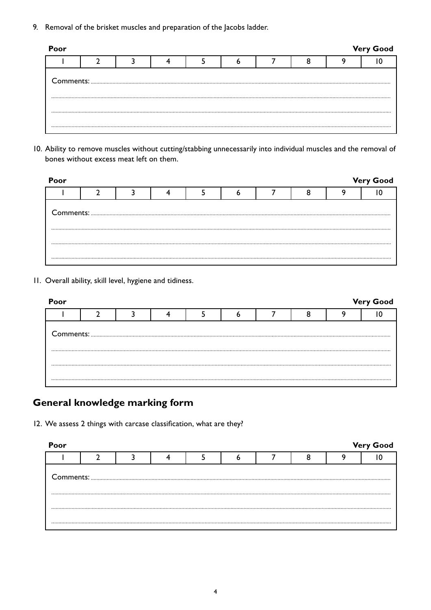9. Removal of the brisket muscles and preparation of the Jacobs ladder.

| Poor |  |  |  |  |  |  |  |  | <b>Very Good</b> |  |
|------|--|--|--|--|--|--|--|--|------------------|--|
|      |  |  |  |  |  |  |  |  |                  |  |
|      |  |  |  |  |  |  |  |  |                  |  |
|      |  |  |  |  |  |  |  |  |                  |  |
|      |  |  |  |  |  |  |  |  |                  |  |
|      |  |  |  |  |  |  |  |  |                  |  |

10. Ability to remove muscles without cutting/stabbing unnecessarily into individual muscles and the removal of bones without excess meat left on them.

| Poor |  |  |  |  | <b>Very Good</b> |
|------|--|--|--|--|------------------|
|      |  |  |  |  |                  |
|      |  |  |  |  |                  |
|      |  |  |  |  |                  |
|      |  |  |  |  |                  |

11. Overall ability, skill level, hygiene and tidiness.

| Poor |  |  |  |  | <b>Very Good</b> |
|------|--|--|--|--|------------------|
|      |  |  |  |  |                  |
|      |  |  |  |  |                  |
|      |  |  |  |  |                  |
|      |  |  |  |  |                  |

# **General knowledge marking form**

12. We assess 2 things with carcase classification, what are they?

| Poor |  |  |  |  | <b>Very Good</b> |
|------|--|--|--|--|------------------|
|      |  |  |  |  |                  |
|      |  |  |  |  |                  |
|      |  |  |  |  |                  |
|      |  |  |  |  |                  |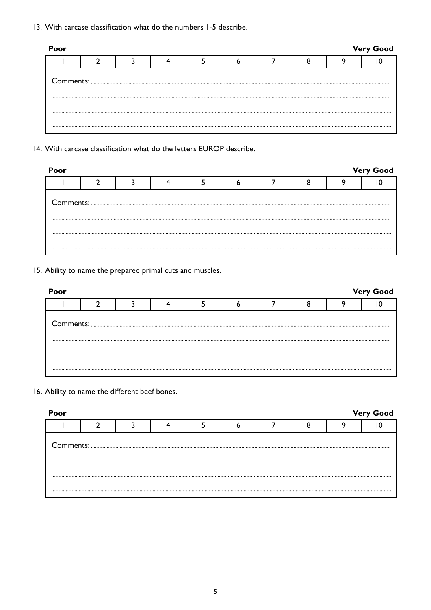13. With carcase classification what do the numbers 1-5 describe.

| <b>Very Good</b><br>Poor |  |  |  |  |  |  |  |  |  |  |  |
|--------------------------|--|--|--|--|--|--|--|--|--|--|--|
|                          |  |  |  |  |  |  |  |  |  |  |  |
|                          |  |  |  |  |  |  |  |  |  |  |  |
|                          |  |  |  |  |  |  |  |  |  |  |  |
|                          |  |  |  |  |  |  |  |  |  |  |  |

14. With carcase classification what do the letters EUROP describe.

| Poor |  |  |  |  | <b>Very Good</b> |
|------|--|--|--|--|------------------|
|      |  |  |  |  |                  |
|      |  |  |  |  |                  |
|      |  |  |  |  |                  |

15. Ability to name the prepared primal cuts and muscles.

| Poor |                                                                                                                                                                                                                                                                                                                                                                                                                                                                                                   |  |  |  | <b>Very Good</b> |
|------|---------------------------------------------------------------------------------------------------------------------------------------------------------------------------------------------------------------------------------------------------------------------------------------------------------------------------------------------------------------------------------------------------------------------------------------------------------------------------------------------------|--|--|--|------------------|
|      |                                                                                                                                                                                                                                                                                                                                                                                                                                                                                                   |  |  |  |                  |
|      | ${\small \begin{minipage}{14cm} \begin{tabular}{ c c c c c } \hline \textbf{Comments:} & \textbf{\textit{3}} & \textbf{\textit{5}} & \textbf{\textit{6}} & \textbf{\textit{7}} & \textbf{\textit{8}} & \textbf{\textit{8}} & \textbf{\textit{9}} & \textbf{\textit{1}} & \textbf{\textit{1}} & \textbf{\textit{1}} & \textbf{\textit{1}} & \textbf{\textit{1}} & \textbf{\textit{1}} & \textbf{\textit{1}} & \textbf{\textit{1}} & \textbf{\textit{1}} & \textbf{\textit{1}} & \textbf{\textit{1$ |  |  |  |                  |
|      |                                                                                                                                                                                                                                                                                                                                                                                                                                                                                                   |  |  |  |                  |

16. Ability to name the different beef bones.

| Poor |                                                                                                                                                                                                                                                                                                                                                                                                                                                                                                   |  |  |  | <b>Very Good</b> |
|------|---------------------------------------------------------------------------------------------------------------------------------------------------------------------------------------------------------------------------------------------------------------------------------------------------------------------------------------------------------------------------------------------------------------------------------------------------------------------------------------------------|--|--|--|------------------|
|      |                                                                                                                                                                                                                                                                                                                                                                                                                                                                                                   |  |  |  |                  |
|      | ${\small \begin{minipage}{14cm} \begin{tabular}{ c c c c c } \hline \textbf{Comments:} & \textbf{\textit{3}} & \textbf{\textit{5}} & \textbf{\textit{6}} & \textbf{\textit{7}} & \textbf{\textit{8}} & \textbf{\textit{8}} & \textbf{\textit{8}} & \textbf{\textit{9}} & \textbf{\textit{1}} & \textbf{\textit{1}} & \textbf{\textit{1}} & \textbf{\textit{1}} & \textbf{\textit{1}} & \textbf{\textit{1}} & \textbf{\textit{1}} & \textbf{\textit{1}} & \textbf{\textit{1}} & \textbf{\textit{1$ |  |  |  |                  |
|      |                                                                                                                                                                                                                                                                                                                                                                                                                                                                                                   |  |  |  |                  |
|      |                                                                                                                                                                                                                                                                                                                                                                                                                                                                                                   |  |  |  |                  |
|      |                                                                                                                                                                                                                                                                                                                                                                                                                                                                                                   |  |  |  |                  |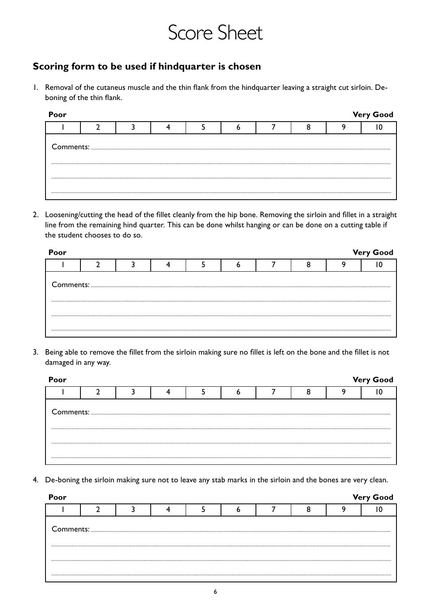# Score Sheet

### **Scoring form to be used if hindquarter is chosen**

1. Removal of the cutaneus muscle and the thin flank from the hindquarter leaving a straight cut sirloin. Deboning of the thin flank.

| Poor |  |  |  |  | <b>Very Good</b> |
|------|--|--|--|--|------------------|
|      |  |  |  |  |                  |
|      |  |  |  |  |                  |
|      |  |  |  |  |                  |
|      |  |  |  |  |                  |

2. Loosening/cutting the head of the fillet cleanly from the hip bone. Removing the sirloin and fillet in a straight line from the remaining hind quarter. This can be done whilst hanging or can be done on a cutting table if the student chooses to do so.

| Poor |  |  |  |  | <b>Very Good</b> |
|------|--|--|--|--|------------------|
|      |  |  |  |  |                  |
|      |  |  |  |  |                  |
|      |  |  |  |  |                  |
|      |  |  |  |  |                  |
|      |  |  |  |  |                  |

3. Being able to remove the fillet from the sirloin making sure no fillet is left on the bone and the fillet is not damaged in any way.

| Poor |                                                                                                                                                                                                                                                                                                                                                                                                                                                   |  |  |  | <b>Very Good</b> |
|------|---------------------------------------------------------------------------------------------------------------------------------------------------------------------------------------------------------------------------------------------------------------------------------------------------------------------------------------------------------------------------------------------------------------------------------------------------|--|--|--|------------------|
|      |                                                                                                                                                                                                                                                                                                                                                                                                                                                   |  |  |  |                  |
|      | ${\small \begin{minipage}{14cm} \begin{tabular}{l} \textbf{Comments:} \end{tabular} \end{minipage}} \begin{minipage}{0.99\textwidth} \begin{tabular}{l} \textbf{1} & \textbf{2} & \textbf{3} & \textbf{4} & \textbf{5} & \textbf{5} & \textbf{6} & \textbf{7} & \textbf{8} & \textbf{9} & \textbf{10} & \textbf{10} & \textbf{10} & \textbf{10} & \textbf{10} & \textbf{10} & \textbf{10} & \textbf{10} & \textbf{10} & \textbf{10} & \textbf{10$ |  |  |  |                  |
|      |                                                                                                                                                                                                                                                                                                                                                                                                                                                   |  |  |  |                  |
|      |                                                                                                                                                                                                                                                                                                                                                                                                                                                   |  |  |  |                  |

4. De-boning the sirloin making sure not to leave any stab marks in the sirloin and the bones are very clean.

| Poor |  |  |  |  | <b>Very Good</b> |
|------|--|--|--|--|------------------|
|      |  |  |  |  |                  |
|      |  |  |  |  |                  |
|      |  |  |  |  |                  |
|      |  |  |  |  |                  |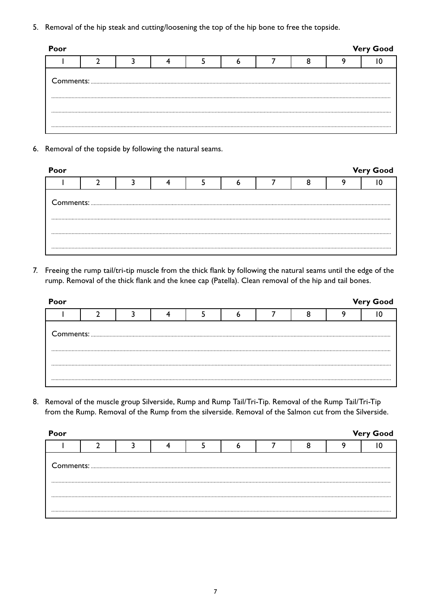5. Removal of the hip steak and cutting/loosening the top of the hip bone to free the topside.

| Poor |  |  |  |  | <b>Very Good</b> |
|------|--|--|--|--|------------------|
|      |  |  |  |  |                  |
|      |  |  |  |  |                  |
|      |  |  |  |  |                  |
|      |  |  |  |  |                  |

6. Removal of the topside by following the natural seams.

| Poor |  |  |  |  | <b>Very Good</b> |
|------|--|--|--|--|------------------|
|      |  |  |  |  |                  |
|      |  |  |  |  |                  |
|      |  |  |  |  |                  |
|      |  |  |  |  |                  |
|      |  |  |  |  |                  |

7. Freeing the rump tail/tri-tip muscle from the thick flank by following the natural seams until the edge of the rump. Removal of the thick flank and the knee cap (Patella). Clean removal of the hip and tail bones.

| Poor |  |  |  |  | <b>Very Good</b> |
|------|--|--|--|--|------------------|
|      |  |  |  |  |                  |
|      |  |  |  |  |                  |
|      |  |  |  |  |                  |

8. Removal of the muscle group Silverside, Rump and Rump Tail/Tri-Tip. Removal of the Rump Tail/Tri-Tip from the Rump. Removal of the Rump from the silverside. Removal of the Salmon cut from the Silverside.

| <b>Very Good</b><br>Poor |  |  |  |  |  |  |  |  |  |  |
|--------------------------|--|--|--|--|--|--|--|--|--|--|
|                          |  |  |  |  |  |  |  |  |  |  |
|                          |  |  |  |  |  |  |  |  |  |  |
|                          |  |  |  |  |  |  |  |  |  |  |
|                          |  |  |  |  |  |  |  |  |  |  |
|                          |  |  |  |  |  |  |  |  |  |  |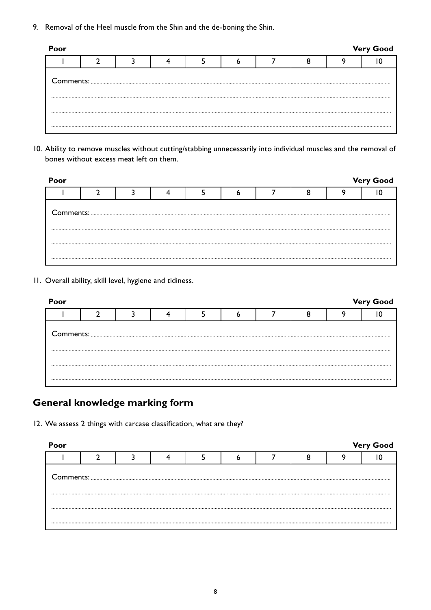9. Removal of the Heel muscle from the Shin and the de-boning the Shin.

| Poor |  |  |  |  | <b>Very Good</b> |
|------|--|--|--|--|------------------|
|      |  |  |  |  |                  |
|      |  |  |  |  |                  |
|      |  |  |  |  |                  |
|      |  |  |  |  |                  |
|      |  |  |  |  |                  |

10. Ability to remove muscles without cutting/stabbing unnecessarily into individual muscles and the removal of bones without excess meat left on them.

| Poor |  |  |  |                                                                                                                                                                                                                                                                                                                                                     | <b>Very Good</b> |
|------|--|--|--|-----------------------------------------------------------------------------------------------------------------------------------------------------------------------------------------------------------------------------------------------------------------------------------------------------------------------------------------------------|------------------|
|      |  |  |  |                                                                                                                                                                                                                                                                                                                                                     |                  |
|      |  |  |  | ${\small \begin{minipage}{14cm} \begin{tabular}{ c c c c } \hline \textbf{Comments:} & \textbf{3.000015:} & \textbf{5.000015:} & \textbf{6.000015:} & \textbf{6.000015:} & \textbf{6.000015:} & \textbf{6.000015:} & \textbf{6.000015:} & \textbf{6.000015:} & \textbf{6.000015:} & \textbf{6.000015:} & \textbf{6.000015:} & \textbf{6.000015:} &$ |                  |
|      |  |  |  |                                                                                                                                                                                                                                                                                                                                                     |                  |
|      |  |  |  |                                                                                                                                                                                                                                                                                                                                                     |                  |

11. Overall ability, skill level, hygiene and tidiness.

| Poor |  |  |  |  | <b>Very Good</b> |
|------|--|--|--|--|------------------|
|      |  |  |  |  |                  |
|      |  |  |  |  |                  |
|      |  |  |  |  |                  |
|      |  |  |  |  |                  |

# **General knowledge marking form**

12. We assess 2 things with carcase classification, what are they?

| Poor |  |  |  |  | <b>Very Good</b> |
|------|--|--|--|--|------------------|
|      |  |  |  |  |                  |
|      |  |  |  |  |                  |
|      |  |  |  |  |                  |
|      |  |  |  |  |                  |